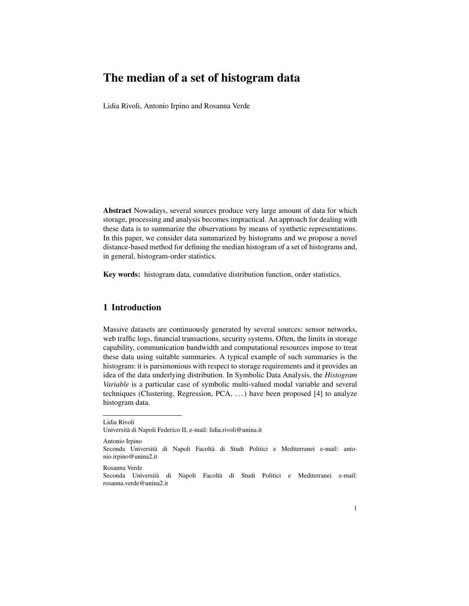## The median of a set of histogram data

Lidia Rivoli, Antonio Irpino and Rosanna Verde

Abstract Nowadays, several sources produce very large amount of data for which storage, processing and analysis becomes impractical. An approach for dealing with these data is to summarize the observations by means of synthetic representations. In this paper, we consider data summarized by histograms and we propose a novel distance-based method for defining the median histogram of a set of histograms and, in general, histogram-order statistics.

Key words: histogram data, cumulative distribution function, order statistics.

## 1 Introduction

Massive datasets are continuously generated by several sources: sensor networks, web traffic logs, financial transactions, security systems. Often, the limits in storage capability, communication bandwidth and computational resources impose to treat these data using suitable summaries. A typical example of such summaries is the histogram: it is parsimonious with respect to storage requirements and it provides an idea of the data underlying distribution. In Symbolic Data Analysis, the *Histogram Variable* is a particular case of symbolic multi-valued modal variable and several techniques (Clustering, Regression, PCA, . . . ) have been proposed [4] to analyze histogram data.

Lidia Rivoli

Universita di Napoli Federico II, e-mail: lidia.rivoli@unina.it `

Antonio Irpino Seconda Università di Napoli Facoltà di Studi Politici e Mediterranei e-mail: antonio.irpino@unina2.it

Rosanna Verde

Seconda Università di Napoli Facoltà di Studi Politici e Mediterranei e-mail: rosanna.verde@unina2.it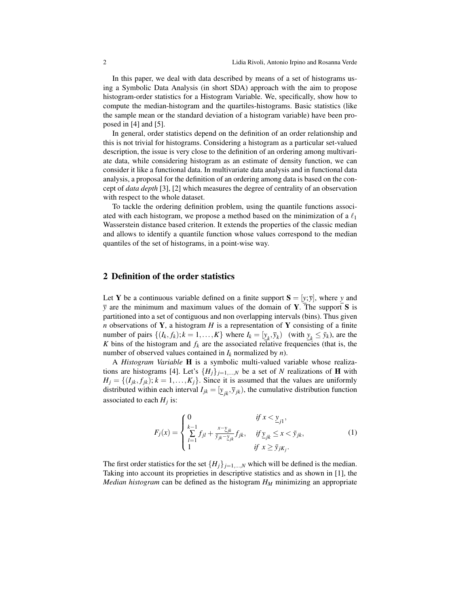In this paper, we deal with data described by means of a set of histograms using a Symbolic Data Analysis (in short SDA) approach with the aim to propose histogram-order statistics for a Histogram Variable. We, specifically, show how to compute the median-histogram and the quartiles-histograms. Basic statistics (like the sample mean or the standard deviation of a histogram variable) have been proposed in [4] and [5].

In general, order statistics depend on the definition of an order relationship and this is not trivial for histograms. Considering a histogram as a particular set-valued description, the issue is very close to the definition of an ordering among multivariate data, while considering histogram as an estimate of density function, we can consider it like a functional data. In multivariate data analysis and in functional data analysis, a proposal for the definition of an ordering among data is based on the concept of *data depth* [3], [2] which measures the degree of centrality of an observation with respect to the whole dataset.

To tackle the ordering definition problem, using the quantile functions associated with each histogram, we propose a method based on the minimization of a  $\ell_1$ Wasserstein distance based criterion. It extends the properties of the classic median and allows to identify a quantile function whose values correspond to the median quantiles of the set of histograms, in a point-wise way.

## 2 Definition of the order statistics

Let **Y** be a continuous variable defined on a finite support  $S = [y; \overline{y}]$ , where *y* and  $\bar{y}$  are the minimum and maximum values of the domain of **Y**. The support **S** is partitioned into a set of contiguous and non overlapping intervals (bins). Thus given *n* observations of **Y**, a histogram  $H$  is a representation of **Y** consisting of a finite number of pairs  $\{(I_k, f_k); k = 1, ..., K\}$  where  $I_k = [\underline{y}_k, \overline{y}_k)$  (with  $\underline{y}_k \leq \overline{y}_k$ ), are the *K* bins of the histogram and  $f_k$  are the associated relative frequencies (that is, the number of observed values contained in  $I_k$  normalized by  $n$ ).

A *Histogram Variable* H is a symbolic multi-valued variable whose realizations are histograms [4]. Let's  ${H_j}_{j=1,\dots,N}$  be a set of *N* realizations of **H** with  $H_i = \{(I_{ik}, f_{ik}); k = 1, \ldots, K_i\}$ . Since it is assumed that the values are uniformly distributed within each interval  $I_{jk} = [\underline{y}_{jk}, \overline{y}_{jk})$ , the cumulative distribution function associated to each  $H_j$  is:

$$
F_j(x) = \begin{cases} 0 & \text{if } x < \underline{y}_{j1}, \\ \sum_{l=1}^{k-1} f_{jl} + \frac{x - \underline{y}_{jk}}{\overline{y}_{jk} - \underline{y}_{jk}} f_{jk}, & \text{if } \underline{y}_{jk} \le x < \overline{y}_{jk}, \\ 1 & \text{if } x \ge \overline{y}_{jkj}.\end{cases}
$$
(1)

The first order statistics for the set  ${H_j}_{j=1,\dots,N}$  which will be defined is the median. Taking into account its proprieties in descriptive statistics and as shown in [1], the *Median histogram* can be defined as the histogram *H<sup>M</sup>* minimizing an appropriate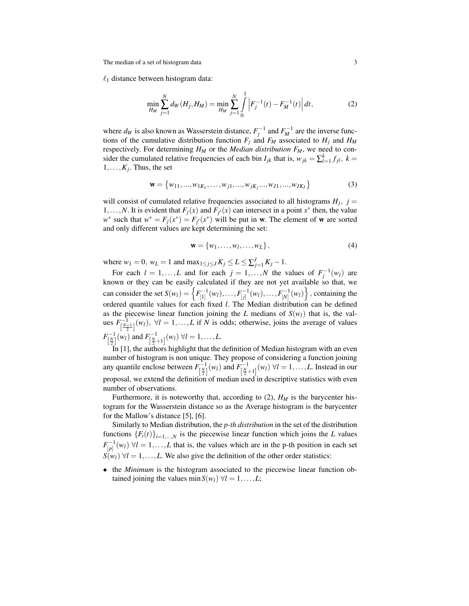The median of a set of histogram data 3

 $\ell_1$  distance between histogram data:

$$
\min_{H_M} \sum_{j=1}^N d_W(H_j, H_M) = \min_{H_M} \sum_{j=1}^N \int_0^1 \left| F_j^{-1}(t) - F_M^{-1}(t) \right| dt,\tag{2}
$$

where  $d_W$  is also known as Wasserstein distance,  $F_j^{-1}$  and  $F_M^{-1}$  are the inverse functions of the cumulative distribution function  $F_j$  and  $F_M$  associated to  $H_j$  and  $H_M$ respectively. For determining *H<sup>M</sup>* or the *Median distribution FM*, we need to consider the cumulated relative frequencies of each bin  $I_{jk}$  that is,  $w_{jk} = \sum_{l=1}^{k} f_{jl}$ ,  $k =$  $1, \ldots, K_j$ . Thus, the set

$$
\mathbf{w} = \{w_{11}, ..., w_{1K_1}, ..., w_{j1}, ..., w_{jK_j}, ..., w_{J1}, ..., w_{JK_J}\}\
$$
(3)

will consist of cumulated relative frequencies associated to all histograms  $H_j$ ,  $j =$ 1,...,*N*. It is evident that  $F_j(x)$  and  $F_{j'}(x)$  can intersect in a point  $x^*$  then, the value  $w^*$  such that  $w^* = F_j(x^*) = F_j(x^*)$  will be put in **w**. The element of **w** are sorted and only different values are kept determining the set:

$$
\mathbf{w} = \{w_1, \dots, w_l, \dots, w_L\},\tag{4}
$$

where  $w_1 = 0$ ,  $w_L = 1$  and  $\max_{1 \le j \le J} K_j \le L \le \sum_{j=1}^J K_j - 1$ .

For each  $l = 1, ..., L$  and for each  $j = 1, ..., N$  the values of  $F_j^{-1}(w_l)$  are known or they can be easily calculated if they are not yet available so that, we can consider the set  $S(w_l) = \left\{ F_{[1]}^{-1}(w_l), \ldots, F_{[j]}^{-1}(w_l), \ldots, F_{[N]}^{-1}(w_l) \right\}$ , containing the ordered quantile values for each fixed *l*. The Median distribution can be defined as the piecewise linear function joining the *L* medians of  $S(w_l)$  that is, the values  $F_{\left[\frac{N+1}{2}\right]}^{-1}(w_l)$ ,  $\forall l = 1,...,L$  if *N* is odds; otherwise, joins the average of values  $F_{\left[\frac{N}{2}\right]}^{-1}(w_l)$  and  $F_{\left[\frac{N}{2}+1\right]}^{-1}(w_l)$   $\forall l = 1, ..., L$ .

In [1], the authors highlight that the definition of Median histogram with an even number of histogram is non unique. They propose of considering a function joining any quantile enclose between  $F_{[\frac{N}{2}]}^{-1}(w_l)$  and  $F_{[\frac{N}{2}+1]}^{-1}(w_l)$   $\forall l = 1,...,L$ . Instead in our proposal, we extend the definition of median used in descriptive statistics with even number of observations.

Furthermore, it is noteworthy that, according to  $(2)$ ,  $H_M$  is the barycenter histogram for the Wasserstein distance so as the Average histogram is the barycenter for the Mallow's distance [5], [6].

Similarly to Median distribution, the *p-th distribution* in the set of the distribution functions  ${F_i(t)}_{i=1,\dots,N}$  is the piecewise linear function which joins the *L* values  $F_{[p]}^{-1}(w_l)$   $\forall l = 1,...,L$  that is, the values which are in the p-th position in each set  $S(w_l)$   $\forall l = 1,...,L$ . We also give the definition of the other order statistics:

• the *Minimum* is the histogram associated to the piecewise linear function obtained joining the values min $S(w_l) \forall l = 1, \ldots, L;$